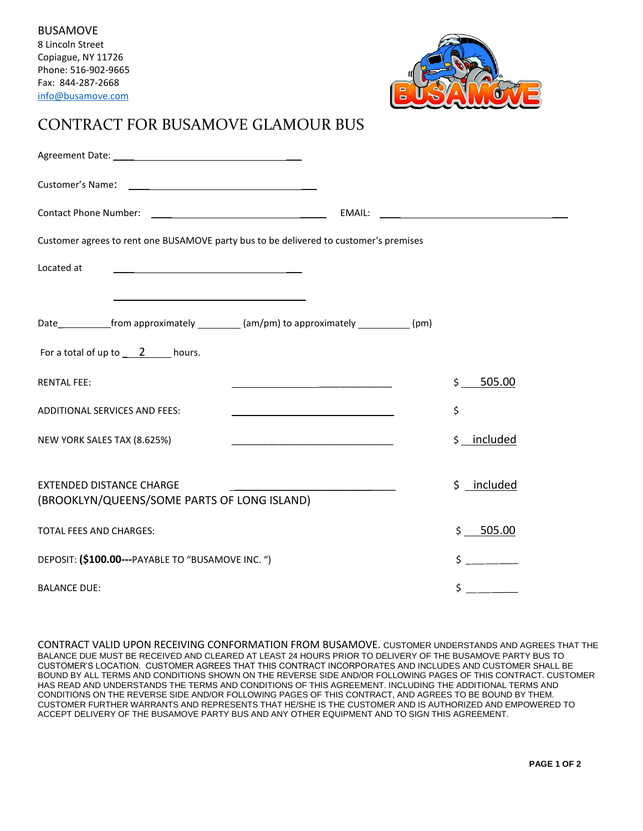

## CONTRACT FOR BUSAMOVE GLAMOUR BUS

| Customer agrees to rent one BUSAMOVE party bus to be delivered to customer's premises                                              |                                                            |                |
|------------------------------------------------------------------------------------------------------------------------------------|------------------------------------------------------------|----------------|
| Located at<br><u> 1989 - Johann Stein, marwolaethau a bhann an t-Amhair an t-Amhair an t-Amhair an t-Amhair an t-Amhair an t-A</u> |                                                            |                |
| <u> 1989 - Johann Barbara, martin amerikan basar dan berasal dan berasal dalam basar dalam basar dalam basar dala</u>              |                                                            |                |
| Date_endmanager manager (am/pm) to approximately ____________(pm)                                                                  |                                                            |                |
| For a total of up to $\qquad 2$ hours.                                                                                             |                                                            |                |
| <b>RENTAL FEE:</b>                                                                                                                 | <u> 1989 - Johann Barn, amerikansk politiker (d. 1989)</u> | \$<br>505.00   |
| ADDITIONAL SERVICES AND FEES:                                                                                                      |                                                            | \$             |
| NEW YORK SALES TAX (8.625%)                                                                                                        |                                                            | \$ _ included  |
|                                                                                                                                    |                                                            |                |
| <b>EXTENDED DISTANCE CHARGE</b><br>(BROOKLYN/QUEENS/SOME PARTS OF LONG ISLAND)                                                     |                                                            | included<br>\$ |
| <b>TOTAL FEES AND CHARGES:</b>                                                                                                     |                                                            | \$505.00       |
|                                                                                                                                    |                                                            |                |
| DEPOSIT: (\$100.00---PAYABLE TO "BUSAMOVE INC. ")                                                                                  |                                                            | $\frac{1}{2}$  |
| <b>BALANCE DUE:</b>                                                                                                                |                                                            | $\frac{1}{2}$  |

CONTRACT VALID UPON RECEIVING CONFORMATION FROM BUSAMOVE. CUSTOMER UNDERSTANDS AND AGREES THAT THE BALANCE DUE MUST BE RECEIVED AND CLEARED AT LEAST 24 HOURS PRIOR TO DELIVERY OF THE BUSAMOVE PARTY BUS TO CUSTOMER'S LOCATION. CUSTOMER AGREES THAT THIS CONTRACT INCORPORATES AND INCLUDES AND CUSTOMER SHALL BE BOUND BY ALL TERMS AND CONDITIONS SHOWN ON THE REVERSE SIDE AND/OR FOLLOWING PAGES OF THIS CONTRACT. CUSTOMER HAS READ AND UNDERSTANDS THE TERMS AND CONDITIONS OF THIS AGREEMENT. INCLUDING THE ADDITIONAL TERMS AND CONDITIONS ON THE REVERSE SIDE AND/OR FOLLOWING PAGES OF THIS CONTRACT, AND AGREES TO BE BOUND BY THEM. CUSTOMER FURTHER WARRANTS AND REPRESENTS THAT HE/SHE IS THE CUSTOMER AND IS AUTHORIZED AND EMPOWERED TO ACCEPT DELIVERY OF THE BUSAMOVE PARTY BUS AND ANY OTHER EQUIPMENT AND TO SIGN THIS AGREEMENT.